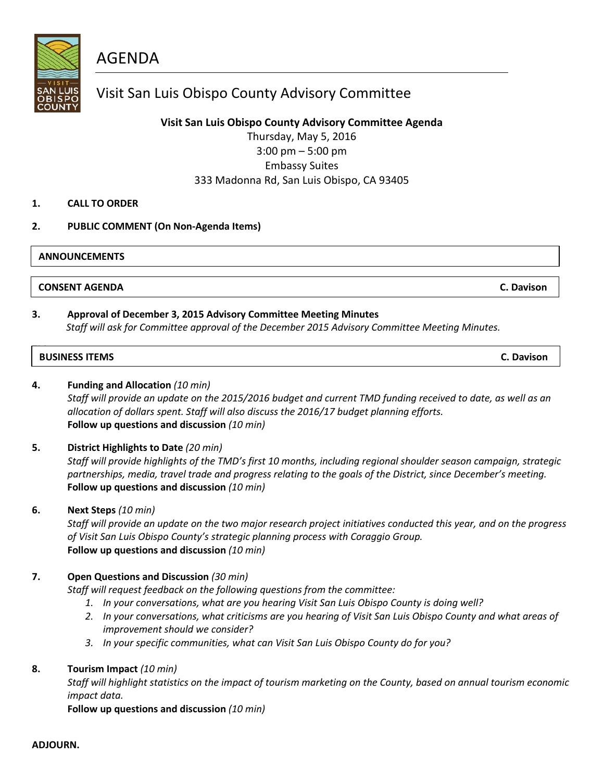AGENDA

### Visit San Luis Obispo County Advisory Committee

**Visit San Luis Obispo County Advisory Committee Agenda**

Thursday, May 5, 2016 3:00 pm – 5:00 pm Embassy Suites 333 Madonna Rd, San Luis Obispo, CA 93405

#### **1. CALL TO ORDER**

#### **2. PUBLIC COMMENT (On Non-Agenda Items)**

#### **ANNOUNCEMENTS**

**CONSENT AGENDA C. Davison**

#### **3. Approval of December 3, 2015 Advisory Committee Meeting Minutes**

*Staff will ask for Committee approval of the December 2015 Advisory Committee Meeting Minutes.*

# **THE SUSINESS ITEMS C. Davison**

#### **4. Funding and Allocation** *(10 min)*

*Staff will provide an update on the 2015/2016 budget and current TMD funding received to date, as well as an allocation of dollars spent. Staff will also discuss the 2016/17 budget planning efforts.* **Follow up questions and discussion** *(10 min)*

#### **5. District Highlights to Date** *(20 min)*

*Staff will provide highlights of the TMD's first 10 months, including regional shoulder season campaign, strategic partnerships, media, travel trade and progress relating to the goals of the District, since December's meeting.* **Follow up questions and discussion** *(10 min)*

#### **6. Next Steps** *(10 min)*

*Staff will provide an update on the two major research project initiatives conducted this year, and on the progress of Visit San Luis Obispo County's strategic planning process with Coraggio Group.* **Follow up questions and discussion** *(10 min)*

#### **7. Open Questions and Discussion** *(30 min)*

*Staff will request feedback on the following questions from the committee:*

- *1. In your conversations, what are you hearing Visit San Luis Obispo County is doing well?*
- *2. In your conversations, what criticisms are you hearing of Visit San Luis Obispo County and what areas of improvement should we consider?*
- *3. In your specific communities, what can Visit San Luis Obispo County do for you?*

#### **8. Tourism Impact** *(10 min)*

*Staff will highlight statistics on the impact of tourism marketing on the County, based on annual tourism economic impact data.*

**Follow up questions and discussion** *(10 min)*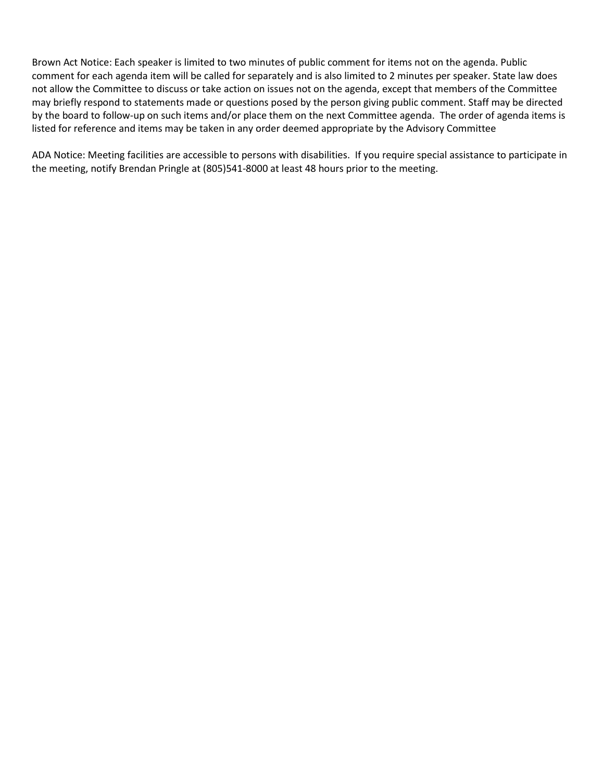Brown Act Notice: Each speaker is limited to two minutes of public comment for items not on the agenda. Public comment for each agenda item will be called for separately and is also limited to 2 minutes per speaker. State law does not allow the Committee to discuss or take action on issues not on the agenda, except that members of the Committee may briefly respond to statements made or questions posed by the person giving public comment. Staff may be directed by the board to follow-up on such items and/or place them on the next Committee agenda. The order of agenda items is listed for reference and items may be taken in any order deemed appropriate by the Advisory Committee

ADA Notice: Meeting facilities are accessible to persons with disabilities. If you require special assistance to participate in the meeting, notify Brendan Pringle at (805)541-8000 at least 48 hours prior to the meeting.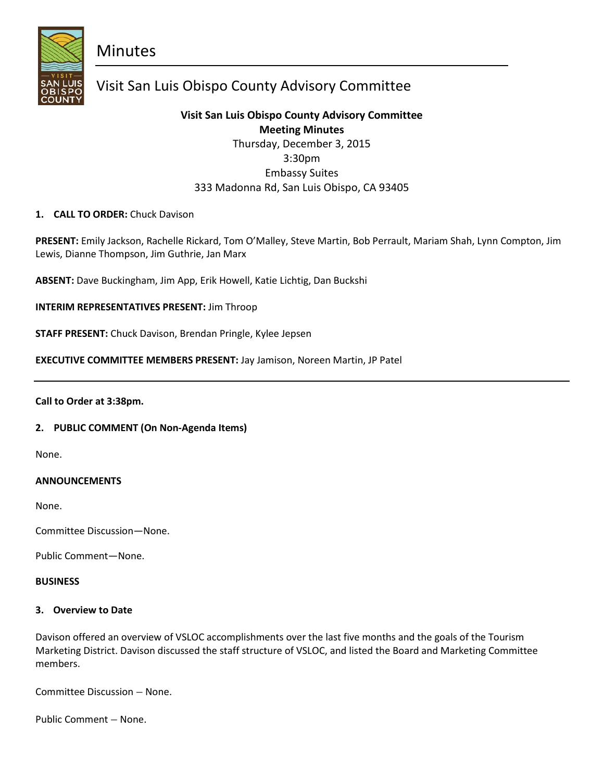**Minutes** 



## Visit San Luis Obispo County Advisory Committee

### **Visit San Luis Obispo County Advisory Committee Meeting Minutes**

Thursday, December 3, 2015 3:30pm Embassy Suites 333 Madonna Rd, San Luis Obispo, CA 93405

#### **1. CALL TO ORDER:** Chuck Davison

**PRESENT:** Emily Jackson, Rachelle Rickard, Tom O'Malley, Steve Martin, Bob Perrault, Mariam Shah, Lynn Compton, Jim Lewis, Dianne Thompson, Jim Guthrie, Jan Marx

**ABSENT:** Dave Buckingham, Jim App, Erik Howell, Katie Lichtig, Dan Buckshi

**INTERIM REPRESENTATIVES PRESENT:** Jim Throop

**STAFF PRESENT:** Chuck Davison, Brendan Pringle, Kylee Jepsen

**EXECUTIVE COMMITTEE MEMBERS PRESENT:** Jay Jamison, Noreen Martin, JP Patel

#### **Call to Order at 3:38pm.**

#### **2. PUBLIC COMMENT (On Non-Agenda Items)**

None.

#### **ANNOUNCEMENTS**

None.

Committee Discussion—None.

Public Comment—None.

#### **BUSINESS**

#### **3. Overview to Date**

Davison offered an overview of VSLOC accomplishments over the last five months and the goals of the Tourism Marketing District. Davison discussed the staff structure of VSLOC, and listed the Board and Marketing Committee members.

Committee Discussion – None.

Public Comment – None.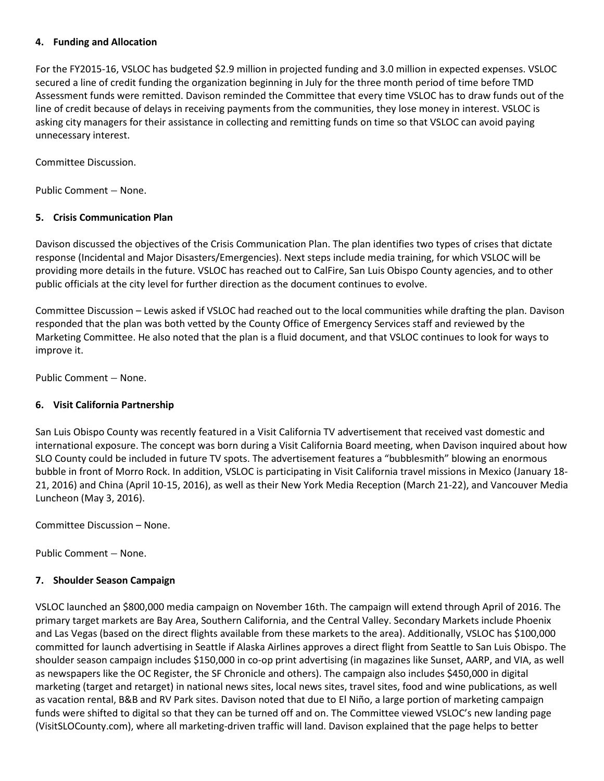#### **4. Funding and Allocation**

For the FY2015-16, VSLOC has budgeted \$2.9 million in projected funding and 3.0 million in expected expenses. VSLOC secured a line of credit funding the organization beginning in July for the three month period of time before TMD Assessment funds were remitted. Davison reminded the Committee that every time VSLOC has to draw funds out of the line of credit because of delays in receiving payments from the communities, they lose money in interest. VSLOC is asking city managers for their assistance in collecting and remitting funds on time so that VSLOC can avoid paying unnecessary interest.

Committee Discussion.

Public Comment – None.

#### **5. Crisis Communication Plan**

Davison discussed the objectives of the Crisis Communication Plan. The plan identifies two types of crises that dictate response (Incidental and Major Disasters/Emergencies). Next steps include media training, for which VSLOC will be providing more details in the future. VSLOC has reached out to CalFire, San Luis Obispo County agencies, and to other public officials at the city level for further direction as the document continues to evolve.

Committee Discussion – Lewis asked if VSLOC had reached out to the local communities while drafting the plan. Davison responded that the plan was both vetted by the County Office of Emergency Services staff and reviewed by the Marketing Committee. He also noted that the plan is a fluid document, and that VSLOC continues to look for ways to improve it.

Public Comment – None.

#### **6. Visit California Partnership**

San Luis Obispo County was recently featured in a Visit California TV advertisement that received vast domestic and international exposure. The concept was born during a Visit California Board meeting, when Davison inquired about how SLO County could be included in future TV spots. The advertisement features a "bubblesmith" blowing an enormous bubble in front of Morro Rock. In addition, VSLOC is participating in Visit California travel missions in Mexico (January 18- 21, 2016) and China (April 10-15, 2016), as well as their New York Media Reception (March 21-22), and Vancouver Media Luncheon (May 3, 2016).

Committee Discussion – None.

Public Comment – None.

#### **7. Shoulder Season Campaign**

VSLOC launched an \$800,000 media campaign on November 16th. The campaign will extend through April of 2016. The primary target markets are Bay Area, Southern California, and the Central Valley. Secondary Markets include Phoenix and Las Vegas (based on the direct flights available from these markets to the area). Additionally, VSLOC has \$100,000 committed for launch advertising in Seattle if Alaska Airlines approves a direct flight from Seattle to San Luis Obispo. The shoulder season campaign includes \$150,000 in co-op print advertising (in magazines like Sunset, AARP, and VIA, as well as newspapers like the OC Register, the SF Chronicle and others). The campaign also includes \$450,000 in digital marketing (target and retarget) in national news sites, local news sites, travel sites, food and wine publications, as well as vacation rental, B&B and RV Park sites. Davison noted that due to El Niño, a large portion of marketing campaign funds were shifted to digital so that they can be turned off and on. The Committee viewed VSLOC's new landing page (VisitSLOCounty.com), where all marketing-driven traffic will land. Davison explained that the page helps to better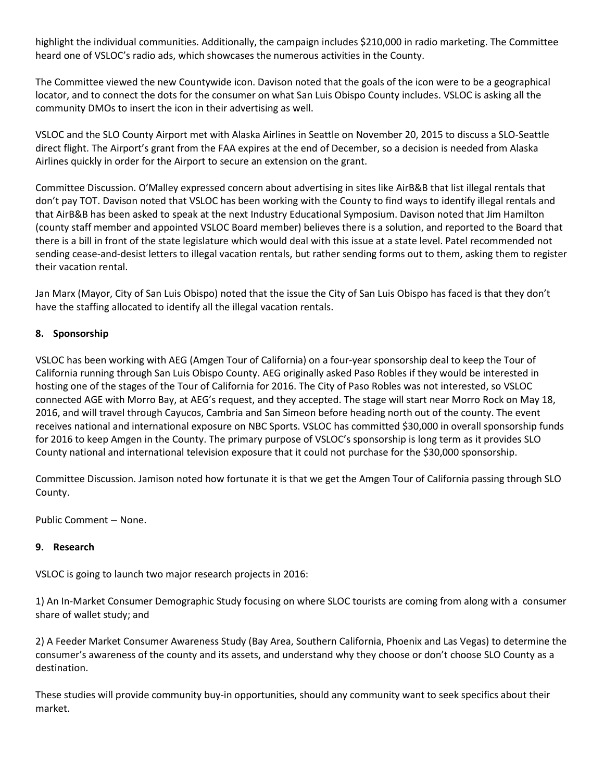highlight the individual communities. Additionally, the campaign includes \$210,000 in radio marketing. The Committee heard one of VSLOC's radio ads, which showcases the numerous activities in the County.

The Committee viewed the new Countywide icon. Davison noted that the goals of the icon were to be a geographical locator, and to connect the dots for the consumer on what San Luis Obispo County includes. VSLOC is asking all the community DMOs to insert the icon in their advertising as well.

VSLOC and the SLO County Airport met with Alaska Airlines in Seattle on November 20, 2015 to discuss a SLO-Seattle direct flight. The Airport's grant from the FAA expires at the end of December, so a decision is needed from Alaska Airlines quickly in order for the Airport to secure an extension on the grant.

Committee Discussion. O'Malley expressed concern about advertising in sites like AirB&B that list illegal rentals that don't pay TOT. Davison noted that VSLOC has been working with the County to find ways to identify illegal rentals and that AirB&B has been asked to speak at the next Industry Educational Symposium. Davison noted that Jim Hamilton (county staff member and appointed VSLOC Board member) believes there is a solution, and reported to the Board that there is a bill in front of the state legislature which would deal with this issue at a state level. Patel recommended not sending cease-and-desist letters to illegal vacation rentals, but rather sending forms out to them, asking them to register their vacation rental.

Jan Marx (Mayor, City of San Luis Obispo) noted that the issue the City of San Luis Obispo has faced is that they don't have the staffing allocated to identify all the illegal vacation rentals.

#### **8. Sponsorship**

VSLOC has been working with AEG (Amgen Tour of California) on a four-year sponsorship deal to keep the Tour of California running through San Luis Obispo County. AEG originally asked Paso Robles if they would be interested in hosting one of the stages of the Tour of California for 2016. The City of Paso Robles was not interested, so VSLOC connected AGE with Morro Bay, at AEG's request, and they accepted. The stage will start near Morro Rock on May 18, 2016, and will travel through Cayucos, Cambria and San Simeon before heading north out of the county. The event receives national and international exposure on NBC Sports. VSLOC has committed \$30,000 in overall sponsorship funds for 2016 to keep Amgen in the County. The primary purpose of VSLOC's sponsorship is long term as it provides SLO County national and international television exposure that it could not purchase for the \$30,000 sponsorship.

Committee Discussion. Jamison noted how fortunate it is that we get the Amgen Tour of California passing through SLO County.

Public Comment – None.

#### **9. Research**

VSLOC is going to launch two major research projects in 2016:

1) An In-Market Consumer Demographic Study focusing on where SLOC tourists are coming from along with a consumer share of wallet study; and

2) A Feeder Market Consumer Awareness Study (Bay Area, Southern California, Phoenix and Las Vegas) to determine the consumer's awareness of the county and its assets, and understand why they choose or don't choose SLO County as a destination.

These studies will provide community buy-in opportunities, should any community want to seek specifics about their market.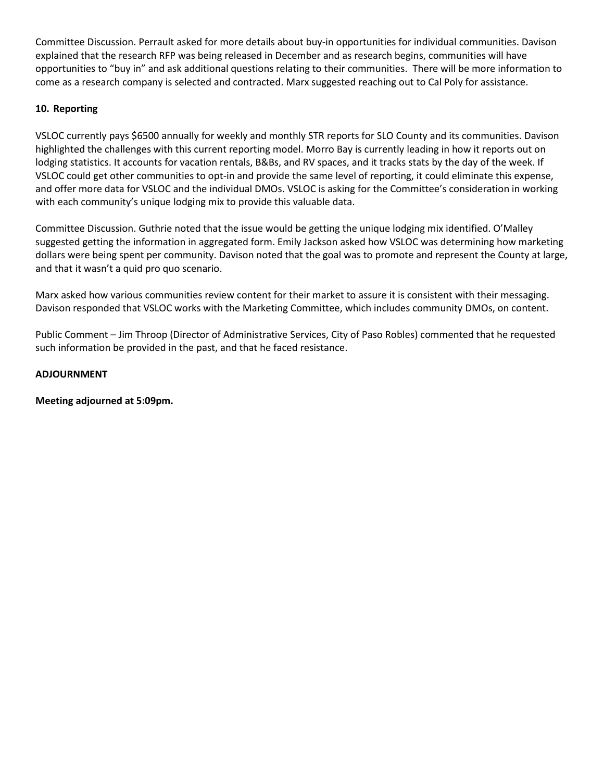Committee Discussion. Perrault asked for more details about buy-in opportunities for individual communities. Davison explained that the research RFP was being released in December and as research begins, communities will have opportunities to "buy in" and ask additional questions relating to their communities. There will be more information to come as a research company is selected and contracted. Marx suggested reaching out to Cal Poly for assistance.

#### **10. Reporting**

VSLOC currently pays \$6500 annually for weekly and monthly STR reports for SLO County and its communities. Davison highlighted the challenges with this current reporting model. Morro Bay is currently leading in how it reports out on lodging statistics. It accounts for vacation rentals, B&Bs, and RV spaces, and it tracks stats by the day of the week. If VSLOC could get other communities to opt-in and provide the same level of reporting, it could eliminate this expense, and offer more data for VSLOC and the individual DMOs. VSLOC is asking for the Committee's consideration in working with each community's unique lodging mix to provide this valuable data.

Committee Discussion. Guthrie noted that the issue would be getting the unique lodging mix identified. O'Malley suggested getting the information in aggregated form. Emily Jackson asked how VSLOC was determining how marketing dollars were being spent per community. Davison noted that the goal was to promote and represent the County at large, and that it wasn't a quid pro quo scenario.

Marx asked how various communities review content for their market to assure it is consistent with their messaging. Davison responded that VSLOC works with the Marketing Committee, which includes community DMOs, on content.

Public Comment – Jim Throop (Director of Administrative Services, City of Paso Robles) commented that he requested such information be provided in the past, and that he faced resistance.

#### **ADJOURNMENT**

**Meeting adjourned at 5:09pm.**